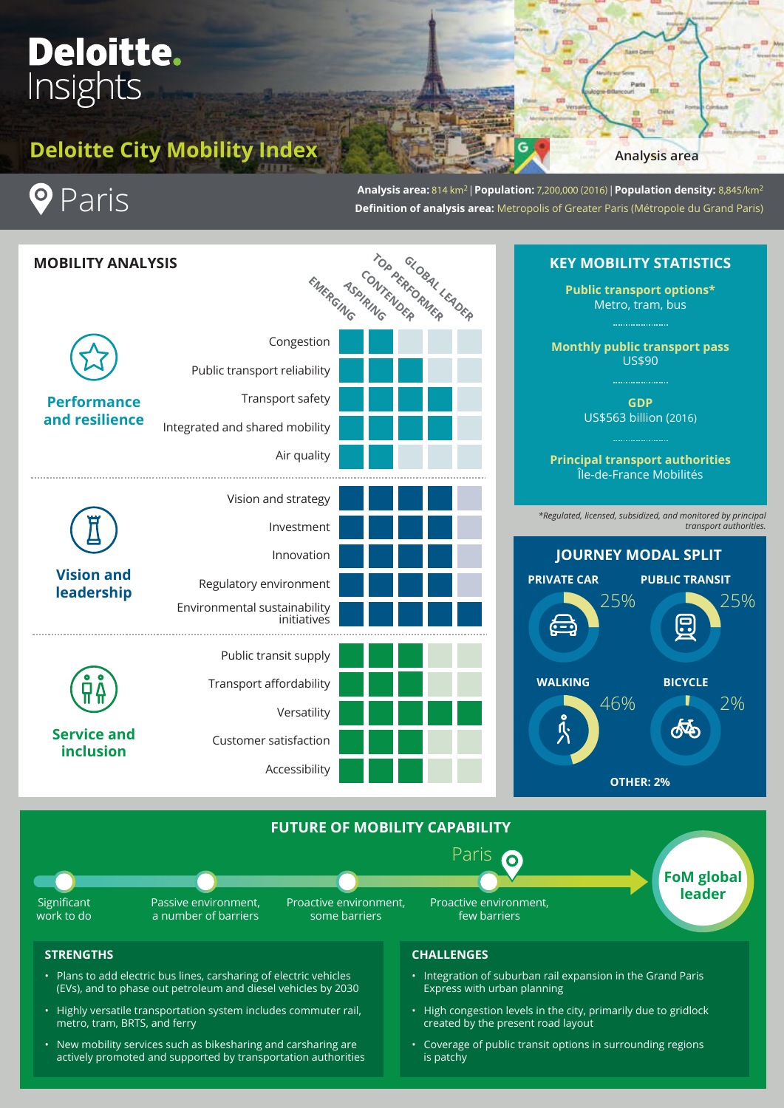# Deloitte. Insights

# **Deloitte City Mobility Index**

**Analysis area**

Paris  $\bullet$ 

**Analysis area:** 814 km2 | **Population:** 7,200,000 (2016) | **Population density:** 8,845/km2 **Definition of analysis area:** Metropolis of Greater Paris (Métropole du Grand Paris)



- New mobility services such as bikesharing and carsharing are actively promoted and supported by transportation authorities
- Coverage of public transit options in surrounding regions is patchy